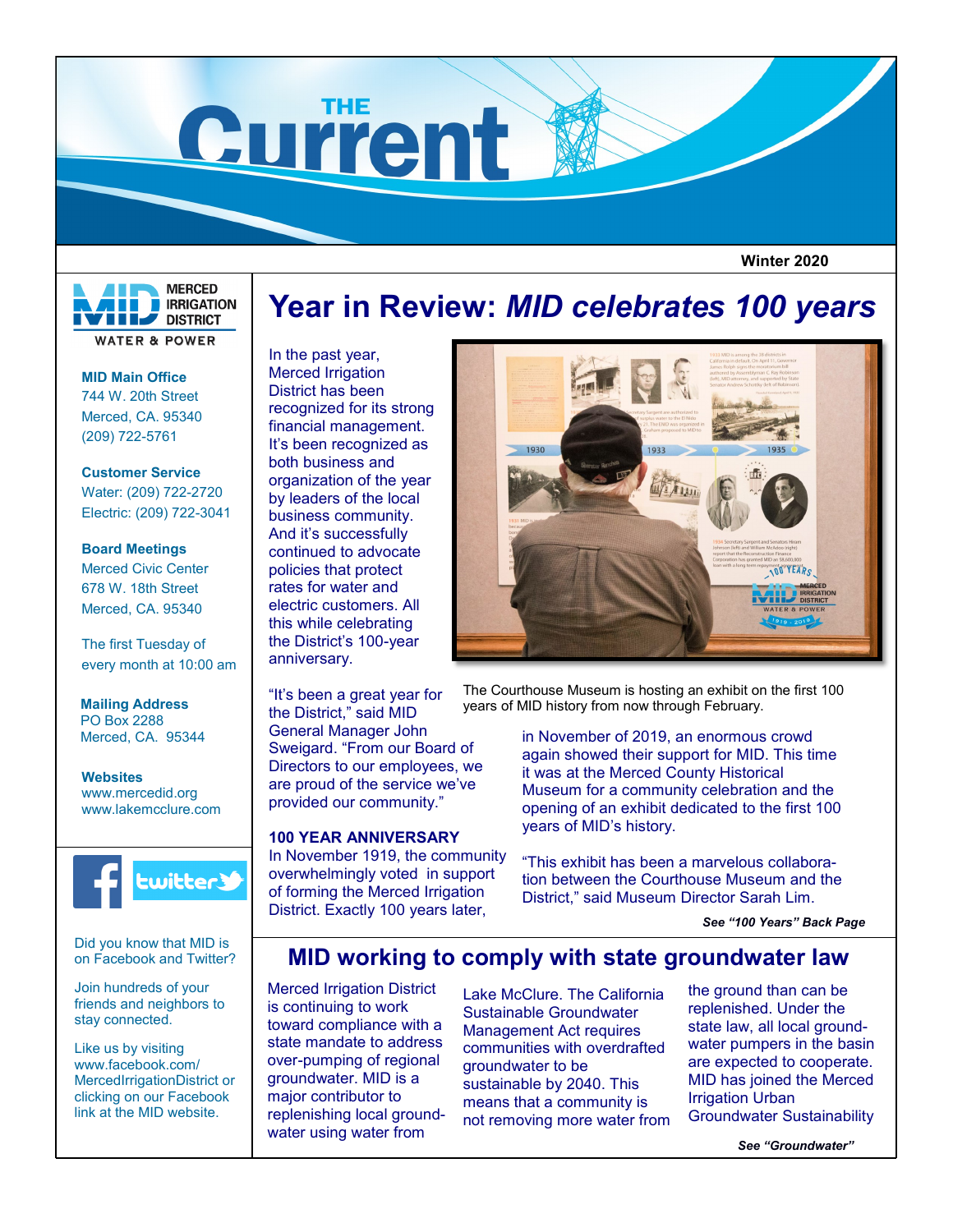

 **Winter 2020**



**MID Main Office** 744 W. 20th Street Merced, CA. 95340 (209) 722-5761

**Customer Service** Water: (209) 722-2720 Electric: (209) 722-3041

# **Board Meetings** Merced Civic Center 678 W. 18th Street Merced, CA. 95340

The first Tuesday of every month at 10:00 am

**Mailing Address** PO Box 2288 Merced, CA. 95344

**Websites** www.mercedid.org www.lakemcclure.com



Did you know that MID is on Facebook and Twitter?

Join hundreds of your friends and neighbors to stay connected.

Like us by visiting www.facebook.com/ MercedIrrigationDistrict or clicking on our Facebook link at the MID website.

# **Year in Review:** *MID celebrates 100 years*

In the past year, Merced Irrigation District has been recognized for its strong financial management. It's been recognized as both business and organization of the year by leaders of the local business community. And it's successfully continued to advocate policies that protect rates for water and electric customers. All this while celebrating the District's 100-year anniversary.

"It's been a great year for the District," said MID General Manager John Sweigard. "From our Board of Directors to our employees, we are proud of the service we've provided our community."

# **100 YEAR ANNIVERSARY**

In November 1919, the community overwhelmingly voted in support of forming the Merced Irrigation District. Exactly 100 years later,



The Courthouse Museum is hosting an exhibit on the first 100 years of MID history from now through February.

> in November of 2019, an enormous crowd again showed their support for MID. This time it was at the Merced County Historical Museum for a community celebration and the opening of an exhibit dedicated to the first 100 years of MID's history.

> "This exhibit has been a marvelous collaboration between the Courthouse Museum and the District," said Museum Director Sarah Lim.

> > *See "100 Years" Back Page*

# **MID working to comply with state groundwater law**

Merced Irrigation District is continuing to work toward compliance with a state mandate to address over-pumping of regional groundwater. MID is a major contributor to replenishing local groundwater using water from

Lake McClure. The California Sustainable Groundwater Management Act requires communities with overdrafted groundwater to be sustainable by 2040. This means that a community is not removing more water from

the ground than can be replenished. Under the state law, all local groundwater pumpers in the basin are expected to cooperate. MID has joined the Merced Irrigation Urban Groundwater Sustainability

*See "Groundwater"*